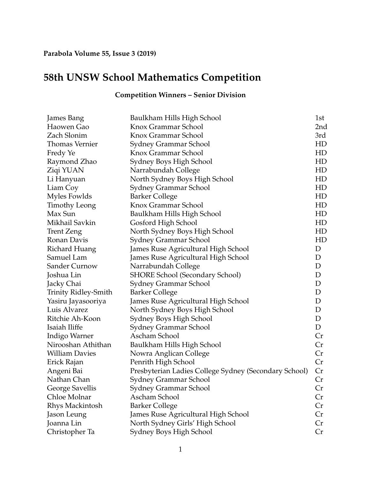## **58th UNSW School Mathematics Competition**

| <b>James Bang</b>     | Baulkham Hills High School                            | 1st |
|-----------------------|-------------------------------------------------------|-----|
| Haowen Gao            | Knox Grammar School                                   | 2nd |
| Zach Slonim           | Knox Grammar School                                   | 3rd |
| <b>Thomas Vernier</b> | Sydney Grammar School                                 | HD  |
| Fredy Ye              | Knox Grammar School                                   | HD  |
| Raymond Zhao          | Sydney Boys High School                               | HD  |
| Ziqi YUAN             | Narrabundah College                                   | HD  |
| Li Hanyuan            | North Sydney Boys High School                         | HD  |
| Liam Coy              | Sydney Grammar School                                 | HD  |
| Myles Fowlds          | <b>Barker College</b>                                 | HD  |
| Timothy Leong         | Knox Grammar School                                   | HD  |
| Max Sun               | Baulkham Hills High School                            | HD  |
| Mikhail Savkin        | Gosford High School                                   | HD  |
| <b>Trent Zeng</b>     | North Sydney Boys High School                         | HD  |
| Ronan Davis           | Sydney Grammar School                                 | HD  |
| Richard Huang         | James Ruse Agricultural High School                   | D   |
| Samuel Lam            | James Ruse Agricultural High School                   | D   |
| <b>Sander Curnow</b>  | Narrabundah College                                   | D   |
| Joshua Lin            | SHORE School (Secondary School)                       | D   |
| Jacky Chai            | Sydney Grammar School                                 | D   |
| Trinity Ridley-Smith  | <b>Barker College</b>                                 | D   |
| Yasiru Jayasooriya    | James Ruse Agricultural High School                   | D   |
| Luis Alvarez          | North Sydney Boys High School                         | D   |
| Ritchie Ah-Koon       | Sydney Boys High School                               | D   |
| Isaiah Iliffe         | Sydney Grammar School                                 | D   |
| Indigo Warner         | Ascham School                                         | Cr  |
| Nirooshan Athithan    | Baulkham Hills High School                            | Cr  |
| <b>William Davies</b> | Nowra Anglican College                                | Cr  |
| Erick Rajan           | Penrith High School                                   | Cr  |
| Angeni Bai            | Presbyterian Ladies College Sydney (Secondary School) | Cr  |
| Nathan Chan           | Sydney Grammar School                                 | Cr  |
| George Savellis       | Sydney Grammar School                                 | Cr  |
| Chloe Molnar          | Ascham School                                         | Cr  |
| Rhys Mackintosh       | <b>Barker College</b>                                 | Cr  |
| Jason Leung           | James Ruse Agricultural High School                   | Cr  |
| Joanna Lin            | North Sydney Girls' High School                       | Cr  |
| Christopher Ta        | Sydney Boys High School                               | Cr  |

## **Competition Winners – Senior Division**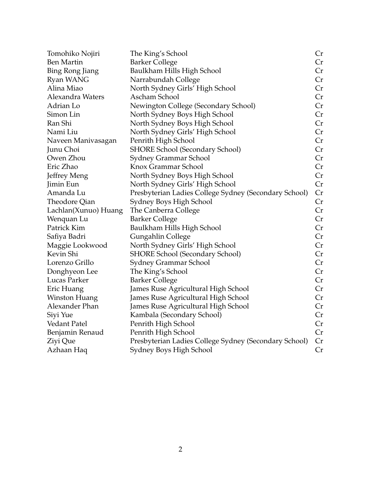| Tomohiko Nojiri        | The King's School                                     | Cr |
|------------------------|-------------------------------------------------------|----|
| <b>Ben Martin</b>      | <b>Barker College</b>                                 | Cr |
| <b>Bing Rong Jiang</b> | Baulkham Hills High School                            | Cr |
| Ryan WANG              | Narrabundah College                                   | Cr |
| Alina Miao             | North Sydney Girls' High School                       | Cr |
| Alexandra Waters       | Ascham School                                         | Cr |
| Adrian Lo              | Newington College (Secondary School)                  | Cr |
| Simon Lin              | North Sydney Boys High School                         | Cr |
| Ran Shi                | North Sydney Boys High School                         | Cr |
| Nami Liu               | North Sydney Girls' High School                       | Cr |
| Naveen Manivasagan     | Penrith High School                                   | Cr |
| Junu Choi              | <b>SHORE School (Secondary School)</b>                | Cr |
| Owen Zhou              | Sydney Grammar School                                 | Cr |
| Eric Zhao              | Knox Grammar School                                   | Cr |
| Jeffrey Meng           | North Sydney Boys High School                         | Cr |
| Jimin Eun              | North Sydney Girls' High School                       | Cr |
| Amanda Lu              | Presbyterian Ladies College Sydney (Secondary School) | Cr |
| Theodore Qian          | Sydney Boys High School                               | Cr |
| Lachlan(Xunuo) Huang   | The Canberra College                                  | Cr |
| Wenquan Lu             | <b>Barker College</b>                                 | Cr |
| Patrick Kim            | Baulkham Hills High School                            | Cr |
| Safiya Badri           | Gungahlin College                                     | Cr |
| Maggie Lookwood        | North Sydney Girls' High School                       | Cr |
| Kevin Shi              | <b>SHORE School (Secondary School)</b>                | Cr |
| Lorenzo Grillo         | Sydney Grammar School                                 | Cr |
| Donghyeon Lee          | The King's School                                     | Cr |
| Lucas Parker           | <b>Barker College</b>                                 | Cr |
| Eric Huang             | James Ruse Agricultural High School                   | Cr |
| Winston Huang          | James Ruse Agricultural High School                   | Cr |
| Alexander Phan         | James Ruse Agricultural High School                   | Cr |
| Siyi Yue               | Kambala (Secondary School)                            | Cr |
| <b>Vedant Patel</b>    | Penrith High School                                   | Cr |
| Benjamin Renaud        | Penrith High School                                   | Cr |
| Ziyi Que               | Presbyterian Ladies College Sydney (Secondary School) | Cr |
| Azhaan Haq             | Sydney Boys High School                               | Cr |
|                        |                                                       |    |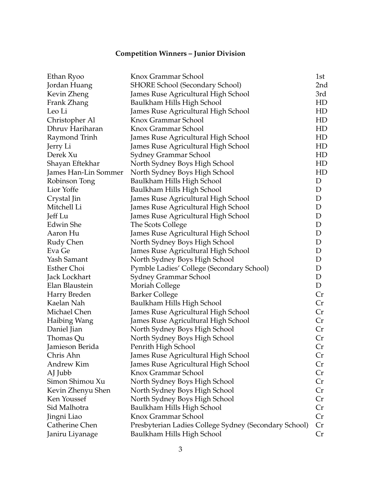## **Competition Winners – Junior Division**

| Ethan Ryoo           | Knox Grammar School                                   | 1st |
|----------------------|-------------------------------------------------------|-----|
| Jordan Huang         | <b>SHORE School (Secondary School)</b>                | 2nd |
| Kevin Zheng          | James Ruse Agricultural High School                   | 3rd |
| Frank Zhang          | Baulkham Hills High School                            | HD  |
| Leo Li               | James Ruse Agricultural High School                   | HD  |
| Christopher Al       | Knox Grammar School                                   | HD  |
| Dhruv Hariharan      | Knox Grammar School                                   | HD  |
| Raymond Trinh        | James Ruse Agricultural High School                   | HD  |
| Jerry Li             | James Ruse Agricultural High School                   | HD  |
| Derek Xu             | Sydney Grammar School                                 | HD  |
| Shayan Eftekhar      | North Sydney Boys High School                         | HD  |
| James Han-Lin Sommer | North Sydney Boys High School                         | HD  |
| Robinson Tong        | Baulkham Hills High School                            | D   |
| Lior Yoffe           | Baulkham Hills High School                            | D   |
| Crystal Jin          | James Ruse Agricultural High School                   | D   |
| Mitchell Li          | James Ruse Agricultural High School                   | D   |
| Jeff Lu              | James Ruse Agricultural High School                   | D   |
| <b>Edwin She</b>     | The Scots College                                     | D   |
| Aaron Hu             | James Ruse Agricultural High School                   | D   |
| Rudy Chen            | North Sydney Boys High School                         | D   |
| Eva Ge               | James Ruse Agricultural High School                   | D   |
| Yash Samant          | North Sydney Boys High School                         | D   |
| <b>Esther Choi</b>   | Pymble Ladies' College (Secondary School)             | D   |
| Jack Lockhart        | Sydney Grammar School                                 | D   |
| Elan Blaustein       | Moriah College                                        | D   |
| Harry Breden         | <b>Barker College</b>                                 | Cr  |
| Kaelan Nah           | Baulkham Hills High School                            | Cr  |
| Michael Chen         | James Ruse Agricultural High School                   | Cr  |
| Haibing Wang         | James Ruse Agricultural High School                   | Cr  |
| Daniel Jian          | North Sydney Boys High School                         | Cr  |
| Thomas Qu            | North Sydney Boys High School                         | Cr  |
| Jamieson Berida      | Penrith High School                                   | Cr  |
| Chris Ahn            | James Ruse Agricultural High School                   | Cr  |
| Andrew Kim           | James Ruse Agricultural High School                   | Cr  |
| AJ Jubb              | Knox Grammar School                                   | Cr  |
| Simon Shimou Xu      | North Sydney Boys High School                         | Cr  |
| Kevin Zhenyu Shen    | North Sydney Boys High School                         | Cr  |
| Ken Youssef          | North Sydney Boys High School                         | Cr  |
| Sid Malhotra         | Baulkham Hills High School                            | Cr  |
| Jingni Liao          | Knox Grammar School                                   | Cr  |
| Catherine Chen       | Presbyterian Ladies College Sydney (Secondary School) | Cr  |
| Janiru Liyanage      | Baulkham Hills High School                            | Cr  |